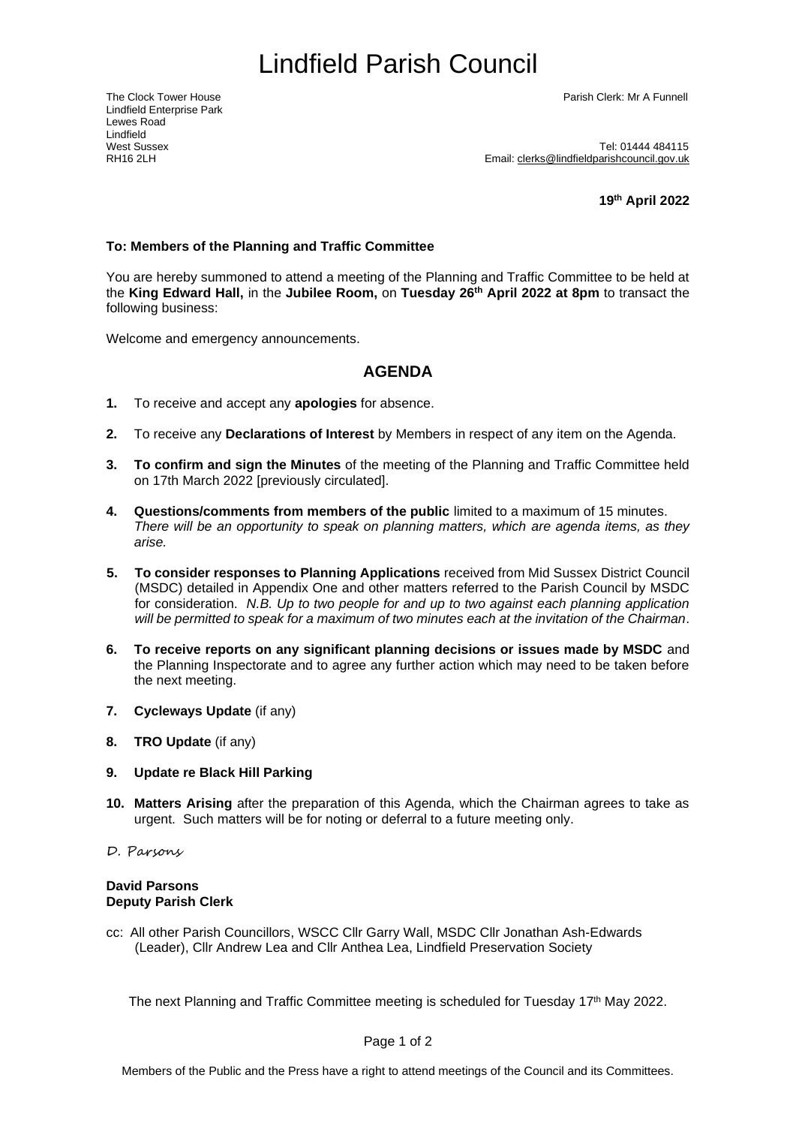# <span id="page-0-0"></span>Lindfield Parish Council

Lindfield Enterprise Park Lewes Road Lindfield<br>West Sussex

The Clock Tower House Parish Clerk: Mr A Funnell

West Sussex<br>RH16 2l H<br>RH16 2l H Email: [clerks@lindfieldparishcouncil.gov.uk](mailto:clerks@lindfieldparishcouncil.gov.uk)

**19th April 2022**

#### **To: Members of the Planning and Traffic Committee**

You are hereby summoned to attend a meeting of the Planning and Traffic Committee to be held at the **King Edward Hall,** in the **Jubilee Room,** on **Tuesday 26th April 2022 at 8pm** to transact the following business:

Welcome and emergency announcements.

### **AGENDA**

- **1.** To receive and accept any **apologies** for absence.
- **2.** To receive any **Declarations of Interest** by Members in respect of any item on the Agenda.
- **3. To confirm and sign the Minutes** of the meeting of the Planning and Traffic Committee held on 17th March 2022 [previously circulated].
- **4. Questions/comments from members of the public** limited to a maximum of 15 minutes. *There will be an opportunity to speak on planning matters, which are agenda items, as they arise.*
- **5. To consider responses to Planning Applications** received from Mid Sussex District Council (MSDC) detailed in Appendix One and other matters referred to the Parish Council by MSDC for consideration. *N.B. Up to two people for and up to two against each planning application will be permitted to speak for a maximum of two minutes each at the invitation of the Chairman*.
- **6. To receive reports on any significant planning decisions or issues made by MSDC** and the Planning Inspectorate and to agree any further action which may need to be taken before the next meeting.
- **7. Cycleways Update** (if any)
- **8. TRO Update** (if any)
- **9. Update re Black Hill Parking**
- **10. Matters Arising** after the preparation of this Agenda, which the Chairman agrees to take as urgent. Such matters will be for noting or deferral to a future meeting only.
- D. Parsons

#### **David Parsons Deputy Parish Clerk**

cc: All other Parish Councillors, WSCC Cllr Garry Wall, MSDC Cllr Jonathan Ash-Edwards (Leader), Cllr Andrew Lea and Cllr Anthea Lea, Lindfield Preservation Society

The next Planning and Traffic Committee meeting is scheduled for Tuesday 17<sup>th</sup> May 2022.

Page 1 of 2

Members of the Public and the Press have a right to attend meetings of the Council and its Committees.